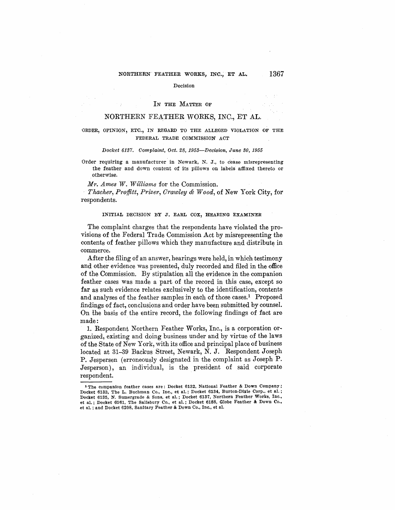# NORTHERN FEATHER WORKS, INC., ET AL. 1367

#### Decision

### IN THE MATTER OF

# NORTHERN FEATHER WORKS, INC., ET AL.

# ;ORDER, OPINION, ETC., IN REGARD TO THE ALLEGED VIOLATION OF THE FEDERAL TRADE COMMISSION ACT

#### Docket 6137. Complaint, Oct. 28, 1953-Decision, June 30, 1955

Order requiring a manufacturer in Newark, N. J., to cease misrepresenting the feather and down content of its pillows on labels affixed thereto or otherwise.

*Mr. Ames 1V. Williams* for the Commission.

*Thacher, Proffitt, Prizer, Orawley & Wood, of* New York City, for respondents.

## **INITIAL DECISION BY J. EARL COX, HEARING EXAMINER**

The complaint charges that the respondents have violated the provisions of the Federal Trade Commission Act by misrepresenting the contents of feather pillows which they manufacture and distribute in -commerce.

After the filing of an answer, hearings were held, in which testimony and other evidence was presented, duly recorded and filed in the office of the Commission. By stipulation all the evidence in the companion feather cases was made a part of the record in this case, except so far as such evidence relates exclusively to the identification, contents and analyses of the feather samples in each of those cases.<sup>1</sup> Proposed findings of fact, conclusions and order have been submitted by counsel. On the basis of the entire record, the following findings of fact are made:

1. Respondent Northern Feather Works, Inc., is a corporation organized, existing and doing business under and by virtue of the laws of the State of New York, with its office and principal place of business located at 31-39 Backus Street, Newark, **N. J.** Respondent Joseph **P.** Jespersen (erroneously designated in the complaint as Joseph **P.**  Jesperson), an individual, is the president of said corporate respondent.

**<sup>1</sup> The companion feather cases are: Docket 6132, National Feather** & **Down Company;**  Docket 6133, The L. Buchman Co., Inc., et al.; Docket 6134, Burton-Dixie Corp., et al.; **Docket 6135, N. Sumergrade** & **Sons, et al.; Docket 6137, Northern Feather Works, Inc., et al.; Docket 6161, Tbe Salisbury Co., et al.; Docket 6188, Globe Feather** & **Down Co., et al.; and Docket 6208, Sanitary Feather** & **Down Co., Inc., et al.**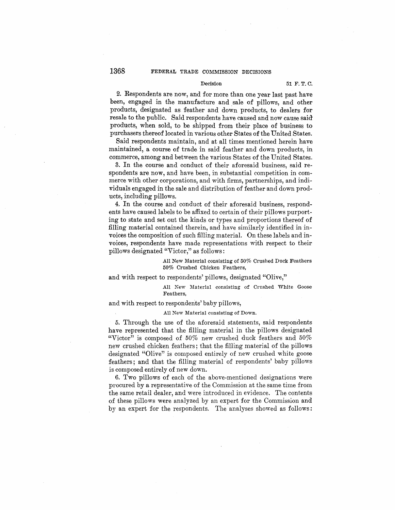## Decision 51 F. T. C.

2. Respondents are now, and for more than one year last past have been, engaged in the manufacture and sale of pillows, and other products, designated as feather and down products, to dealers for resale to the public. Said respondents have caused and now cause said products, when sold, to be shipped from their place of business to purchasers thereof located in various other States of the United States.

Said respondents maintain, and at all times mentioned herein have maintained, a course of trade in said feather and down products, in commerce, among and between the various States of the United States.

3. In the course and conduct of their aforesaid business, said respondents are now, and have been, in substantial competition in commerce with other corporations, and with firms, partnerships, and individuals engaged in the sale and distribution of feather and down products, including pillows.

4. In the course and conduct of their aforesaid business, respondents have caused labels to be affixed to certain of their pillows purporting to state and set out the kinds or types and proportions thereof of filling material contained therein, and have similarly identified in invoices the composition of such filling material. On these labels and invoices, respondents have made representations with respect to their pillows designated "Victor," as follows:

> All New Material consisting of 50% Crushed Duck Feathers 50% Crushed Chicken Feathers,

and with respect to respondents' pillows, designated "Olive,"

All New Material consisting of Crushed White Goose Feathers,

and with respect to respondents' baby pillows,

All New Material consisting of Down.

5. Through the use of the aforesaid statements, said respondents have represented that the filling material in the pillows designated "Victor" is composed of 50% new crushed duck feathers and 50% new crushed chicken feathers; that the filling material of the pillows designated "Olive" is composed entirely of new crushed white goose feathers; and that the filling material of respondents' baby pillows is composed entirely of new down.

6. Two pillows of each of the above-mentioned designations were procured by a representative of the Commission at the same time from the same retail dealer, and were introduced in evidence. The contents of these pillows were analyzed by an expert for the Commission and by an expert for the respondents. The analyses showed as follows: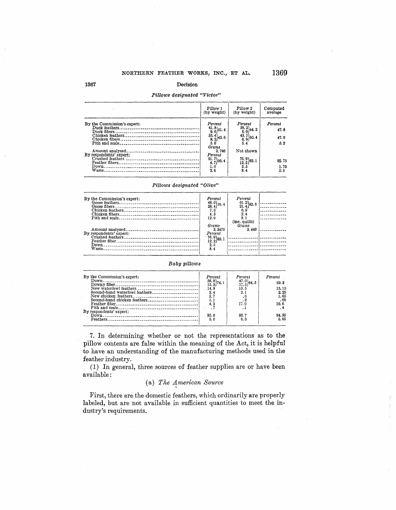# *Pillows designated "Victor"*

| Pillow 1<br>Pillow 2<br>(by weight)<br>(by weight)                                                                                      | Computed<br>average |
|-----------------------------------------------------------------------------------------------------------------------------------------|---------------------|
| Percent<br>Percent<br>By the Commission's expert:                                                                                       | Percent             |
| $\substack{38.2\\6.0}$ 44.2<br>$\left.\frac{41.8}{9.6}\right\}$ 51.4                                                                    | 47.8                |
| $\left\{\n \begin{array}{l}\n 43.5 \\ 6.9\n \end{array}\n \right\}\n 50.\n 4$<br>$\begin{array}{c} 35.4 \\ 8.2 \end{array}$ 43.6        | 47.0                |
| 5.0<br>5.4                                                                                                                              | 5.2                 |
| Grams                                                                                                                                   |                     |
| Not shown<br>3.746<br>Amount analyzed.                                                                                                  |                     |
| By respondents' expert:<br>Percent                                                                                                      |                     |
| $\left\{\n \begin{array}{l}\n 91.7 \\ 4.7\n \end{array}\n \right\}$ 96.4<br>$\left.\frac{76}{12}\right.\frac{9}{2}\left. \right\}$ 89.1 | 92.75               |
| 1.0<br>2.5                                                                                                                              | 1.75                |
| 8.4<br>2.6                                                                                                                              | 5.5                 |

# *Pillows designated "Olive"*

| By the Commission's expert: | Percent<br>$\left\{\{48.0}{28.4}\right\}$ 76. 4<br>7,3<br>4.3<br>12.0                                               | Percent<br>$\{61.2\}$ 82.6<br>6.9<br>2.4<br>8. 1<br>$(inc. quills))$ | <u>.</u> |
|-----------------------------|---------------------------------------------------------------------------------------------------------------------|----------------------------------------------------------------------|----------|
| By respondents' expert:     | Grams<br>3.3475<br>Percent<br>$\left.\begin{smallmatrix} 76.9 \\ 12.2 \end{smallmatrix}\right\}$ 89.1<br>2.5<br>8.4 | Grams<br>3.440<br>---------------                                    |          |

# *Baby pillows*

| By the Commission's expert:    | Percent                                                          | Percent                                                                     | Percent |
|--------------------------------|------------------------------------------------------------------|-----------------------------------------------------------------------------|---------|
|                                |                                                                  |                                                                             |         |
|                                | $\left\{\begin{array}{l} 58.8 \\ 15.3 \end{array}\right\}$ 74. 1 | $\left\{\n \begin{array}{l}\n 47.0 \\ 17.5\n \end{array}\n \right\}\n 64.5$ | 69.3    |
| New waterfowl feathers         | 14.8                                                             | 15.5                                                                        | 15.15   |
| Second-hand waterfowl feathers | 2.4                                                              | 2.1                                                                         | 2.25    |
|                                | 2,7                                                              |                                                                             | 1.65    |
|                                | 1.1                                                              |                                                                             | .65     |
|                                | 4.2                                                              | 17.0                                                                        | 10.6    |
|                                |                                                                  | . .                                                                         |         |
| By respondents' expert:        |                                                                  |                                                                             |         |
|                                | 95.0                                                             | 93.7                                                                        | 94.35   |
|                                | 5.0                                                              | 6.3                                                                         | 5.65    |
|                                |                                                                  |                                                                             |         |

7. In determining whether or not the representations as to the pillow contents are false within the meaning of the Act, it is helpful to have an understanding of the manufacturing methods used in the feather industry.

(1) In general, three sources of feather supplies are or have been available:

# (a) *The 41nerican Source*

First, there are the domestic feathers, which ordinarily are properly labeled, but are not available in sufficient quantities to meet the industry's requirements.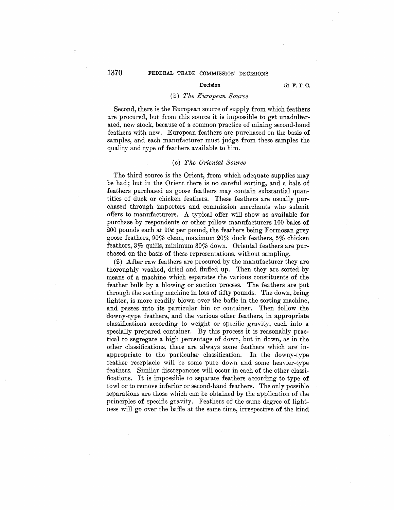# 1370 **FEDERAL TRADE COMMISSION DECISIONS**

### Decision **51 F. T. 0.**

# (b) *The European Source*

Second, there is the European source of supply from which feathers are procured, but from this source it is impossible to get unadulterated, new stock, because *of* a common practice of mixing second-hand feathers with new. European feathers are purchased on the basis of samples, and each manufacturer must judge from these samples the quality and type of feathers available to him.

# (c) *The Oriental Source*

The third source is the Orient, from which adequate supplies may be had; but in the Orient there is no careful sorting, and a bale of feathers purchased as goose feathers may contain substantial quantities of duck or chicken feathers. These feathers are usually purchased through importers and commission merchants who submit offers to manufacturers. A typical offer will show as available for purchase by respondents or other pillow manufacturers 100 bales of 200 pounds each at 90¢ per pound, the feathers being Formosan grey goose feathers, 90% clean, maximum 20% duck feathers, 5% chicken feathers, 3% quills, minimum 30% down. Oriental feathers are purchased on the basis of these representations, without sampling.

(2) After raw feathers are procured by the manufacturer they are thoroughly washed, dried and fluffed up. Then they are sorted by means of a machine which separates the various constituents of the feather bulk by a blowing or suction process. The feathers are put through the sorting machine in lots of fifty pounds. The down, being lighter, is more readily blown over the baffie in the sorting machine, and passes into its particular bin or container. Then follow the downy-type feathers, and the various other feathers, in appropriate classifications according to weight or specific gravity, each into a specially prepared container. By this process it is reasonably practical to segregate a high percentage of down, but in down, as in the other classifications, there are always some feathers which are inappropriate to the particular classification. In the downy-type feather receptacle will be some pure down and some heavier-type feathers. Similar discrepancies will occur in each of the other classifications. It is impossible to separate feathers according to type of fowl or to remove inferior or second-hand feathers. The only possible separations are those which can be obtained by the application of the principles of specific gravity. Feathers of the same degree of lightness will go over the baffle at the same time, irrespective of the kind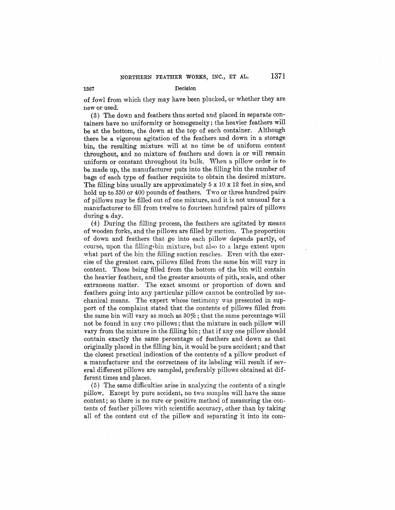of fowl from which they may have been plucked, or whether they are new or used.

(3) The down and feathers thus sorted and placed in separate containers have no uniformity or homogeneity; the heavier feathers will be at the bottom, the down at the top of each container. Although there be a vigorous agitation of the feathers and down in a storage bin, the resulting mixture will at no time be of uniform content throughout, and no mixture of feathers and down is or will remain uniform or constant throughout its bulk. When a pillow order is to be made up, the manufacturer puts into the filling bin the number of bags of each type of feather requisite to obtain the desired mixture. The filling bins usually are approximately  $5 \times 10 \times 12$  feet in size, and hold up to 350 or 400 pounds of feathers. Two or three hundred pairs of pillows may be filled out of one mixture, and it is not unusual for a manufacturer to fill from twelve to fourteen hundred pairs of pillows during a day.

(4) During the filling process, the feathers are agitated by means of wooden forks, and the pillows are filled by suction. The proportion of down and feathers that go into each pillow depends partly, of course, upon the filling-bin mixture, but also to a large extent upon what part of the bin the filling suction reaches. Even with the exercise of the greatest care, pillows filled from the same bin will vary in content. Those being filled from the bottom of the bin will contain the heavier feathers, and the greater amounts of pith, scale, and other extraneous matter. The exact amount or proportion of down and feathers going into any particular pillow cannot be controlled by mechanical means. The expert whose testimony was presented in support of the complaint stated that the contents of pillows filled from the same bin will vary as much as  $30\%$ ; that the same percentage will not be found in any two pillows ; that the mixture in each pillow will vary from the mixture in the filling bin; that if any one pillow should contain exactly the same percentage of feathers and down as that originally placed in the filling bin, it would be pure accident; and that the closest practical indication of the contents of a pillow product of a manufacturer and the correctness of its labeling will result if sev eral different pillows are sampled, preferably pillows obtained at different times and places.

(5) The same difficulties arise in analyzing the contents of a single pillow. Except by pure accident, no two samples will have the same content; so there is no sure or positive method of measuring the contents of feather piIJows with scientific accuracy, other than by taking all of the content out of the pillow and separating it into its com-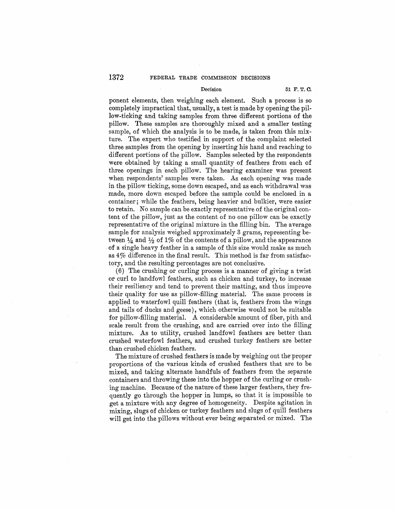# Decision 51 F. T. C.

ponent elements, then weighing each element. Such a process is so completely impractical that, usually, a test is made by opening the pillow-ticking and taking samples from three different portions of the pillow. These samples are thoroughly mixed and a smaller testing sample, of which the analysis is to be made, is taken from this mixture. The expert who testified in support of the complaint selected three samples from the opening by inserting his hand and reaching to different portions of the pillow. Samples selected by the respondents were obtained by taking a small quantity of feathers from each of three openings in each pillow. The hearing examiner was present when respondents' samples were taken. As each opening was made in the pillow ticking, some down escaped, and as each withdrawal was made, more down escaped before the sample could be enclosed in a container; while the feathers, being heavier and bulkier, were easier to retain. No sample can be exactly representative of the original content of the pillow, just as the content of no one pillow can be exactly representative of the original mixture in the filling bin. The average sample for analysis weighed approximately 3 grams, representing between  $\frac{1}{4}$  and  $\frac{1}{2}$  of 1% of the contents of a pillow, and the appearance of a single heavy feather in a sample of this size would make as much as 4% difference in the final result. This method is far from satisfactory, and the resulting percentages are not conclusive.

(6) The crushing or curling process is a manner of giving a twist or curl to landfowl feathers, such as chicken and turkey, to increase their resiliency and tend to prevent their matting, and thus improve their quality for use as pillow-filling material. The same process is .applied to waterfowl quill feathers (that is, feathers from the wings and tails of ducks and geese), which otherwise would not be suitable for pillow-filling material. A considerable amount of fiber, pith and scale result from the crushing, and are carried over into the filling mixture. As to utility, crushed landfowl feathers are better than crushed waterfowl feathers, and crushed turkey feathers are better than crushed chicken feathers.

The mixture of crushed feathers is made by weighing out the proper proportions of the various kinds of crushed feathers that are to be mixed, and taking alternate handfuls of feathers from the separate containers and throwing these into the hopper of the curling or crushing machine. Because of the nature of these larger feathers, they frequently go through the hopper in lumps, so that it is impossible to get a mixture with any degree of homogeneity. Despite agitation in mixing, slugs of chicken or turkey feathers and slugs of quill feathers will get into the pillows without ever being separated or mixed. The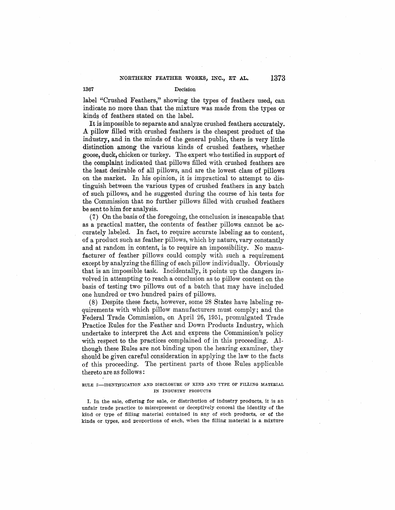label "Crushed Feathers," showing the types of feathers used, can indicate no more than that the mixture was made from the types or kinds of feathers stated on the label.

It is impossible to separate and analyze crushed feathers accurately. A pillow filled with crushed feathers is the cheapest product of the industry, and in the minds of the general public, there is very little distinction among the various kinds of crushed feathers, whether goose, **duck,** chicken or turkey. The expert who testified in support of the complaint indicated that pillows filled with crushed feathers are the least desirable of all pillows, and are the lowest class of pillows on the market. In his opinion, it is impractical to attempt to distinguish between the various types of crushed feathers in any batch of such pillows, and he suggested during the course of his tests for the Commission that no further pillows filled with crushed feathers be sent to him for analysis.

(7) On the basis of the foregoing, the conclusion is inescapable that as a practical matter, the contents of feather pillows cannot be accurately labeled. In fact, to require accurate labeling as to content, of a product such as feather pillows, which by nature, vary constantly and at random in content, is to require an impossibility. No manufacturer of feather pillows could comply with such a requirement except by analyzing the filling of each pillow individually. Obviously that is an impossible task. Incidentally, it points up the dangers involved in attempting to reach a conclusion as to pillow content on the basis of testing two pillows out of a batch that may have included one hundred or two hundred pairs of pillows.

(8) Despite these facts, however, some 28 States have labeling requirements with which pillow manufacturers must comply; and the Federal Trade Commission, on April 26, 1951, promulgated Trade Practice Rules for the Feather and Down Products Industry, which undertake to interpret the Act and express the Commission's policy with respect to the practices complained of in this proceeding. Although these Rules are not binding upon the hearing examiner, they should be given careful consideration in applying the law to the facts of this proceeding. The pertinent parts of those Rules applicable thereto are as follows :

RULE 3-IDENTIFICATION AND DISCLOSURE OF KIND AND TYPE OF FILLING MATERIAL IN INDUSTRY PRODUCTS

I. In the sale, offering for sale, or distribution of industry products, it is an unfair trade practice to misrepresent or deceptively conceal the identity of the kind or type of filling material contained in any of such products, or of the kinds or .types, and proportions of each. when the filling material is a mixture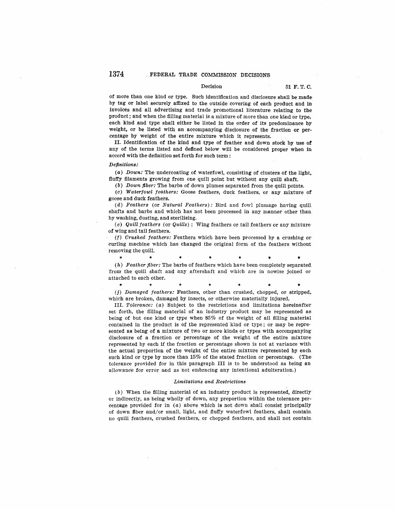#### Decision 51 F. T. C.

of more than one kind or type. Such identification and disclosure shall be made· by tag or label securely affixed to the outside covering of each product and in invoices and all advertising and trade promotional literature relating to the product; and when the filling material is a mixture of more than one kind or type, each kind and type shall either be listed in the order of its predominance by weight, or be listed with an accompanying disclosure of the fraction or percentage by weight of the entire mixture which it represents.

II. Identification of the kind and type of feather and down stock by use **of**  any of the terms listed and defined below will be considered proper when in accord with the definition set forth for such term:

#### Definitions:

(a) Down: The undercoating of waterfowl, consisting of clusters of the light, fluffy filaments growing from one quill point but without any quill shaft.

(b) Down fiber: The barbs of down plumes separated from the quill points.

(c) Waterfowl feathers: Goose feathers, duck feathers, or any mixture of goose and duck feathers.

(d) Feathers (or Natural Feathers): Bird and fowl plumage having quill shafts and barbs and which has not been processed in any manner other than by washing, dusting, and sterilizing.

 $(e)$  Quill feathers (or Quills): Wing feathers or tail feathers or any mixture of wing and tail feathers.

(f) Crushed feathers: Feathers which have been processed by a crushing orcurling machine which has changed the original form of the feathers without removing the quill.

\* \* \* \* \* • •

 $(h)$  Feather fiber: The barbs of feathers which have been completely separated. ·from the quill shaft and any aftershaft and which are in nowise joined or attached to each other.

\* \* \* \* • (j) Damaged feathers: Feathers, other than crushed, chopped, or stripped,. which are broken, damaged by insects, or otherwise materially injured.

III. Tolerance: (a) Subject to the restrictions and limitations hereinafter set forth, the filling material of an industry product may be represented as. being of but one kind or type when 85% of the weight of all filling material contained in the product is of the represented kind or type; or may be represented as being of a mixture of two or more kinds or types with accompanying disclosure of a fraction or percentage of the weight of the entire mixture· represented by each if the fraction or percentage shown is not at variance with the actual proportion of the weight of the entire mixture represented by each such kind or type by more than 15% of the stated fraction or percentage. (The tolerance provided for in this paragraph III is to be understood as being an allowance for error and as not embracing any intentional adulteration.)

#### Limitations and Restrictions

 $(b)$  When the filling material of an industry product is represented, directly or indirectly, as being wholly of down, any proportion within the tolerance percentage provided for in (a) above which is not down shall consist principally of down fiber and/or small, light, and fluffy waterfowl feathers, shall contain. no quill feathers, crushed feathers, or chopped feathers, and shall not contain\_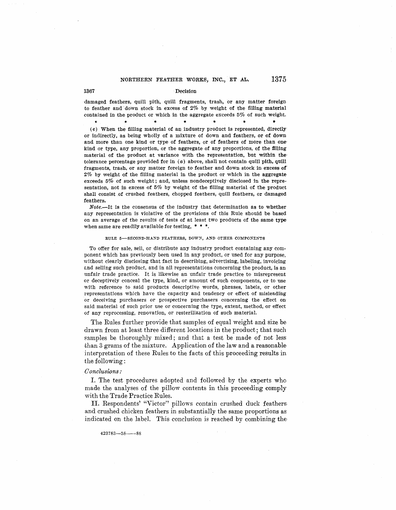damaged feathers, quill pith, quill fragments, trash, or any matter foreign to feather and down stock in excess of  $2\%$  by weight of the filling material contained in the product or which in the aggregate exceeds  $5\%$  of such weight.

\* \* \* \* • (e) When the filling material of an industry product is represented, directly or indirectly, as being wholly of a mixture of down and feathers, or of down and more than one kind or type of feathers, or of feathers of more than one kind or type, any proportion, or the aggregate of any proportions, of the filling material of the product at variance with the representation, but within the· tolerance percentage provided for in  $(a)$  above, shall not contain quill pith, quill fragments, trash, or any matter foreign to feather and down stock in excess **of·**  2% by weight of the filling material in the product or which in the aggregate exceeds 5% of such weight; and, unless nondeceptively disclosed in the representation, not in excess of 5% by weight of the filling material of the product shall consist of crushed feathers, chopped feathers, quill feathers, or damaged feathers.

*Note.-It* is the consensus of the industry that determination as to whether any representation is violative of the provisions of this Rule should be based on an average of the results of tests of at least two products of the same type when same are readily available for testing,  $* * *$ .

#### RULE 5-SECOND-HAND FEATHERS, DOWN, AND OTHER COMPONENTS

To offer for sale, sell, or distribute any industry product containing any component which has previously been used in any product, or used for any purpose, without clearly disclosing that fact in describing, advertising, labeling, invoicing and selling such product, and in all representations concerning the product, is an unfair trade practice. It is likewise an unfair trade practice to misrepresent or deceptively conceal the type, kind, or amount of such components, or to use with reference to said products descriptive words, phrases, labels, or other representations which have the capacity and tendency or effect of misleading or deceiving purchasers or prospective purchasers concerning the effect on said material of such prior use or concerning the type, extent, method, or effect of any reprocessing, renovation, or resterilization of such material.

The Rules further provide that samples of equal weight and size be drawn from at least three different locations in the product; that such samples be thoroughly mixed; and that a test be made of not less than 3 grams of the mixture. Application of the law and a reasonable· interpretation of these Rules to the facts of this proceeding results in the following :

# *0 onclusions :*

I. The test procedures adopted and followed by the experts who made the analyses of the pillow contents in this proceeding comply with the Trade Practice Rules.

II. Respondents' "Victor" pillows contain crushed duck feathers and crushed chicken feathers in substantially the same proportions as indicated on the label. This conclusion is reached by combining the

423i83-5S--8S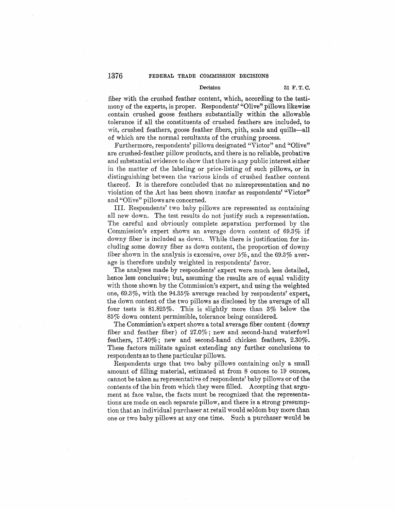### Decision 51 **F.T.C.**

fiber with the crushed feather content, which, according to the testimony of the experts, is proper. Respondents' "Olive" pillows likewise contain crushed goose feathers substantially within the allowable tolerance if all the constituents of crushed feathers are included, to wit, crushed feathers, goose feather fibers, pith, scale and quills-all of which are the normal resultants of the crushing process.

Furthermore, respondents' pillows designated "Victor" and "Olive" are crushed-feather pillow products, and there is no reliable, probative and substantial evidence to show that there is any public interest either jn the matter of the labeling or price-listing of such pillows, or in distinguishing between the various kinds of crushed feather content thereof. It is therefore concluded that no misrepresentation and no violation of the Act has been shown insofar as respondents' "Victor" and "Olive" pillows are concerned.

III. Respondents' two baby pillows are represented as containing all new down. The test results do not justify such a representation. The careful and obviously complete separation performed by the Commission's expert shows an average down content of 69.3%. if downy fiber is included as down. While there is justification for including some downy fiber as down content, the proportion of downy fiber shown in the analysis is excessive, over 5%, and the 69.3% average is therefore unduly weighted in respondents' favor.

The analyses made by respondents' expert were much less detailed. hence less conclusive; but, assuming the results are of equal validity with those shown by the Commission's expert, and using the weighted one, 69.3%, with the 94.35% average reached by respondents' expert, the down content of the two pillows as disclosed by the average of all four tests is 81.825%. This is slightly more than 3% below the 85% down content permissible, tolerance being considered.

The Commission's expert shows a total average fiber content ( downy fiber and feather fiber) of 27.0%; new and second-hand waterfowl feathers, 17.40%; new and second-hand chicken feathers, 2.30%. These factors militate against extending any further conclusions to respondents as to these particular pillows.

Respondents urge that two baby pillows containing only a small amount of filling material, estimated at from 8 ounces to 19 ounces, cannot be taken as representative of respondents' baby pillows or of the contents of the bin from which they were filled. Accepting that argument at face value, the facts must be recognized that the representations are made on each separate pillow, and there is a strong presumption that an individual purchaser at retail would seldom buy more than one or two baby pillows at any one time. Such a purchaser would be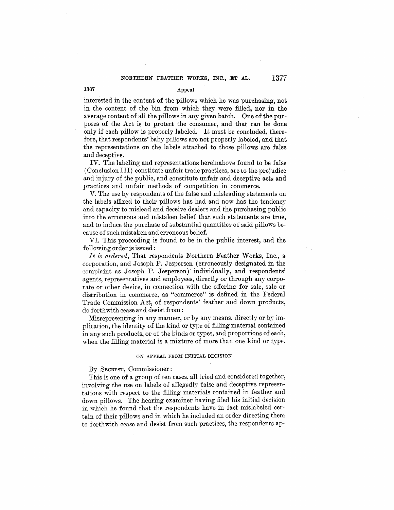interested in the content of the pillows which he was purchasing, not in the content of the bin from which they were filled, nor in the average content of all the pillows in any given batch. One of the purposes of the Act is to protect the consumer, and that can be done only if each pillow is properly labeled. It must be concluded, therefore, that respondents' baby pillows are not properly labeled, and that the representations on the labels attached to those pillows are false and deceptive.

IV. The labeling and representations hereinabove found to be false ( Conclusion III) constitute unfair trade practices, are to the prejudice and injury of the public, and constitute unfair and deceptive acts and practices and unfair methods of competition in commerce.

V. The use by respondents of the false and misleading statements on the labels affixed to their pillows has had and now has the tendency and capacity to mislead and deceive dealers and the purchasing public into the erroneous and mistaken belief that such statements are true, and to induce the purchase of substantial quantities of said pillows because of such mistaken and erroneous belief.

VI. This proceeding is found to be in the public interest, and the following order is issued :

*It is ordered,* That respondents Northern Feather Works, Inc., a corporation, and Joseph P. Jespersen ( erroneously designated in the complaint as Joseph P. Jesperson) individually, and respondents' agents, representatives and employees, directly or through any corporate or other device, in connection with the offering for sale, sale or distribution in commerce, as "commerce" is defined in the Federal Trade Commission Act, of respondents' feather and down products, do forthwith cease and desist from:

Misrepresenting in any manner, or by any means, directly or by implication, the identity of the kind or type of filling material contained in any such products, or of the kinds or types, and proportions of each, when the filling material is a mixture of more than one kind or type.

#### **ON APPEAL FROM INITIAL DECISION**

# By SECREST, Commissioner:

This is one of a group of ten cases, all tried and considered together, involving the use on labels of allegedly false and deceptive representations with respect to the filling materials contained in feather and down pillows. The hearing examiner having filed his initial decision in which he found that the respondents have in fact mislabeled certain of their pillows and in which he included an order directing them to forthwith cease and desist from such practices, the respondents ap-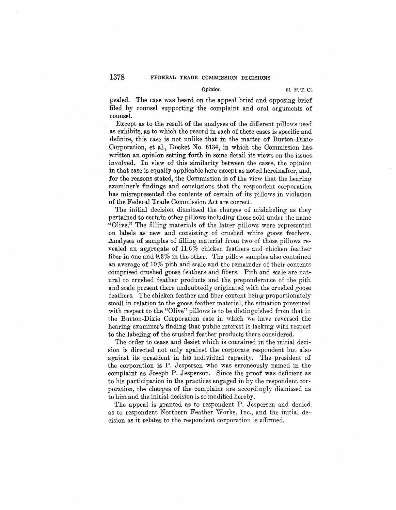pealed. The case was heard on the appeal brief and opposing brief filed by counsel supporting the complaint and oral arguments of counsel.

Except as to the result of the analyses of the different pillows used as exhibits, as to which the record in each of these cases is specific and definite, this case is not unlike that in the matter of Burton-Dixie· Corporation, et al., Docket No. 6134, in which the Commission has. written an opinion setting forth in some detail its views on the issues involved. In view of this similarity between the cases, the opinion in that case is equally applicable here except as noted hereinafter, and,. for the reasons stated, the Commission is of the view that the hearing examiner's findings and conclusions that the respondent corporation has misrepresented the contents of certain of its pillows in violation of the Federal Trade Commission Act are correct.

The initial decision dismissed the charges of mislabeling as they pertained to certain other pillows including those sold under the name "Olive," The filling materials of the latter pillows were represented on labels as new and consisting of crushed white goose feathers. Analyses of samples of filling material from two of those pillows revealed an aggregate of  $11.6\%$  chicken feathers and chicken feather fiber in one and 9.3% in the other. The pillow samples also contained an average of 10% pith and scale and the remainder of their contents comprised crushed goose feathers and fibers. Pith and scale are nat ural to crushed feather products and the preponderance of the pith. and scale present there undoubtedly originated with the crushed goose feathers. The chicken feather and fiber content being proportionately small in relation to the goose feather material, the situation presented with respect to the "Olive" pillows is to be distinguished from that in the Burton-Dixie Corporation case in which we have reversed the· hearing examiner's finding that public interest is lacking with respect to the labeling of the crushed feather products there considered.

The order to cease and desist which is contained in the initial deci sion is directed not only against the corporate respondent but also against its president in his individual capacity. The president of the corporation is P. Jespersen who was erroneously named in the complaint as Joseph P. Jesperson. Since the proof was deficient as to his participation in the practices engaged in by the respondent corporation, the charges of the complaint are accordingly dismissed as to him and the initial decision is so modified hereby.

The appeal is granted as to respondent P. Jespersen and denied as to respondent Northern Feather Works, Inc., and the initial de-· cision as it relates to the respondent corporation is affirmed.